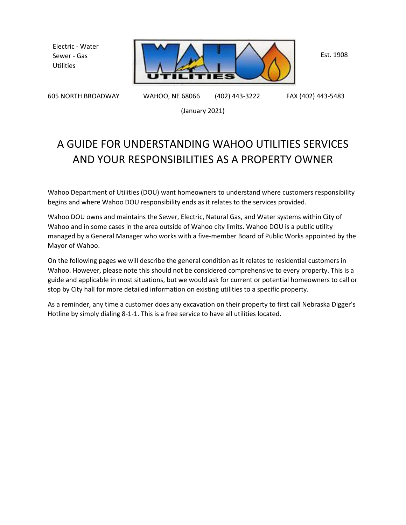Electric - Water Sewer - Gas **Utilities** 



Est. 1908

605 NORTH BROADWAY WAHOO, NE 68066 (402) 443-3222 FAX (402) 443-5483

(January 2021)

# A GUIDE FOR UNDERSTANDING WAHOO UTILITIES SERVICES AND YOUR RESPONSIBILITIES AS A PROPERTY OWNER

Wahoo Department of Utilities (DOU) want homeowners to understand where customers responsibility begins and where Wahoo DOU responsibility ends as it relates to the services provided.

Wahoo DOU owns and maintains the Sewer, Electric, Natural Gas, and Water systems within City of Wahoo and in some cases in the area outside of Wahoo city limits. Wahoo DOU is a public utility managed by a General Manager who works with a five-member Board of Public Works appointed by the Mayor of Wahoo.

On the following pages we will describe the general condition as it relates to residential customers in Wahoo. However, please note this should not be considered comprehensive to every property. This is a guide and applicable in most situations, but we would ask for current or potential homeowners to call or stop by City hall for more detailed information on existing utilities to a specific property.

As a reminder, any time a customer does any excavation on their property to first call Nebraska Digger's Hotline by simply dialing 8-1-1. This is a free service to have all utilities located.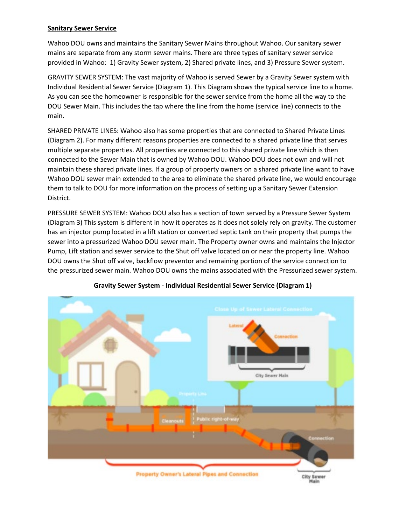## **Sanitary Sewer Service**

Wahoo DOU owns and maintains the Sanitary Sewer Mains throughout Wahoo. Our sanitary sewer mains are separate from any storm sewer mains. There are three types of sanitary sewer service provided in Wahoo: 1) Gravity Sewer system, 2) Shared private lines, and 3) Pressure Sewer system.

GRAVITY SEWER SYSTEM: The vast majority of Wahoo is served Sewer by a Gravity Sewer system with Individual Residential Sewer Service (Diagram 1). This Diagram shows the typical service line to a home. As you can see the homeowner is responsible for the sewer service from the home all the way to the DOU Sewer Main. This includes the tap where the line from the home (service line) connects to the main.

SHARED PRIVATE LINES: Wahoo also has some properties that are connected to Shared Private Lines (Diagram 2). For many different reasons properties are connected to a shared private line that serves multiple separate properties. All properties are connected to this shared private line which is then connected to the Sewer Main that is owned by Wahoo DOU. Wahoo DOU does not own and will not maintain these shared private lines. If a group of property owners on a shared private line want to have Wahoo DOU sewer main extended to the area to eliminate the shared private line, we would encourage them to talk to DOU for more information on the process of setting up a Sanitary Sewer Extension District.

PRESSURE SEWER SYSTEM: Wahoo DOU also has a section of town served by a Pressure Sewer System (Diagram 3) This system is different in how it operates as it does not solely rely on gravity. The customer has an injector pump located in a lift station or converted septic tank on their property that pumps the sewer into a pressurized Wahoo DOU sewer main. The Property owner owns and maintains the Injector Pump, Lift station and sewer service to the Shut off valve located on or near the property line. Wahoo DOU owns the Shut off valve, backflow preventor and remaining portion of the service connection to the pressurized sewer main. Wahoo DOU owns the mains associated with the Pressurized sewer system.



#### **Gravity Sewer System - Individual Residential Sewer Service (Diagram 1)**

Main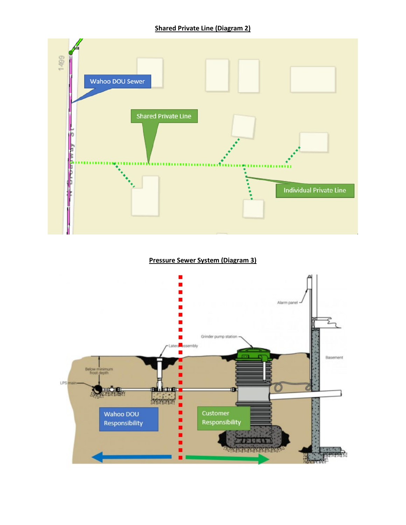

**Pressure Sewer System (Diagram 3)**

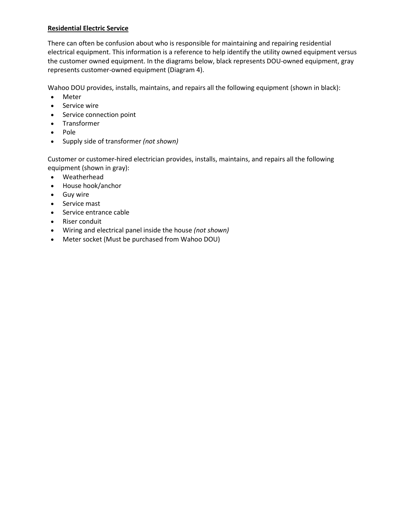## **Residential Electric Service**

There can often be confusion about who is responsible for maintaining and repairing residential electrical equipment. This information is a reference to help identify the utility owned equipment versus the customer owned equipment. In the diagrams below, black represents DOU-owned equipment, gray represents customer-owned equipment (Diagram 4).

Wahoo DOU provides, installs, maintains, and repairs all the following equipment (shown in black):

- Meter
- Service wire
- Service connection point
- Transformer
- Pole
- Supply side of transformer *(not shown)*

Customer or customer-hired electrician provides, installs, maintains, and repairs all the following equipment (shown in gray):

- Weatherhead
- House hook/anchor
- Guy wire
- Service mast
- Service entrance cable
- Riser conduit
- Wiring and electrical panel inside the house *(not shown)*
- Meter socket (Must be purchased from Wahoo DOU)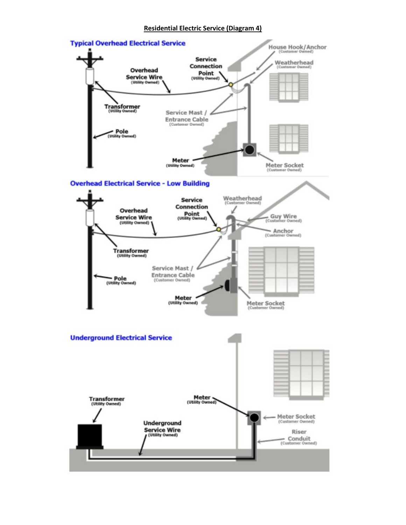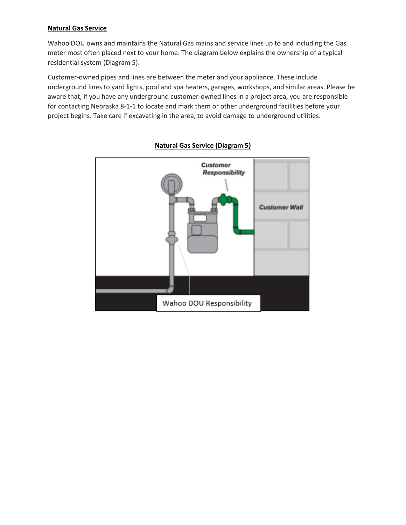#### **Natural Gas Service**

Wahoo DOU owns and maintains the Natural Gas mains and service lines up to and including the Gas meter most often placed next to your home. The diagram below explains the ownership of a typical residential system (Diagram 5).

Customer-owned pipes and lines are between the meter and your appliance. These include underground lines to yard lights, pool and spa heaters, garages, workshops, and similar areas. Please be aware that, if you have any underground customer-owned lines in a project area, you are responsible for contacting Nebraska 8-1-1 to locate and mark them or other underground facilities before your project begins. Take care if excavating in the area, to avoid damage to underground utilities.



# **Natural Gas Service (Diagram 5)**